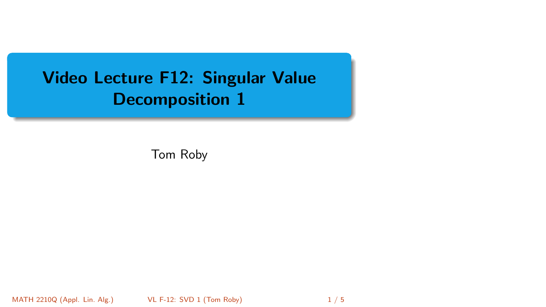# <span id="page-0-0"></span>Video Lecture F12: Singular Value Decomposition 1

Tom Roby

MATH 2210Q (Appl. Lin. Alg.) **VL F-12: SVD 1 (Tom Roby)** 1 / 5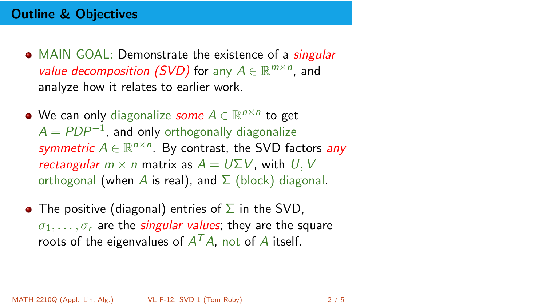- MAIN GOAL: Demonstrate the existence of a *singular* value decomposition (SVD) for any  $A \in \mathbb{R}^{m \times n}$ , and analyze how it relates to earlier work.
- We can only diagonalize *some A*  $\in \mathbb{R}^{n \times n}$  to get  $A = PDP^{-1}$ , and only orthogonally diagonalize symmetric  $A \in \mathbb{R}^{n \times n}$ . By contrast, the SVD factors any rectangular  $m \times n$  matrix as  $A = U \Sigma V$ , with U, V orthogonal (when A is real), and  $\Sigma$  (block) diagonal.
- The positive (diagonal) entries of  $\Sigma$  in the SVD,  $\sigma_1, \ldots, \sigma_r$  are the *singular values*; they are the square roots of the eigenvalues of  $A<sup>T</sup>A$ , not of A itself.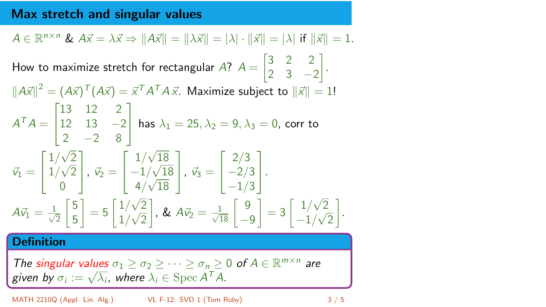### Max stretch and singular values

$$
A \in \mathbb{R}^{n \times n} \& A\vec{x} = \lambda \vec{x} \Rightarrow \|A\vec{x}\| = \|\lambda \vec{x}\| = |\lambda| \cdot \|\vec{x}\| = |\lambda| \text{ if } \|\vec{x}\| = 1.
$$
\nHow to maximize stretch for rectangular A?  $A = \begin{bmatrix} 3 & 2 & 2 \\ 2 & 3 & -2 \end{bmatrix}.$ 

\n
$$
\|A\vec{x}\|^2 = (A\vec{x})^T (A\vec{x}) = \vec{x}^T A^T A \vec{x}.
$$
\nMaximize subject to  $\|\vec{x}\| = 1!$ 

\n
$$
A^T A = \begin{bmatrix} 13 & 12 & 2 \\ 12 & 13 & -2 \\ 2 & -2 & 8 \end{bmatrix} \text{ has } \lambda_1 = 25, \lambda_2 = 9, \lambda_3 = 0, \text{ corr to}
$$
\n
$$
\vec{v}_1 = \begin{bmatrix} 1/\sqrt{2} \\ 1/\sqrt{2} \\ 0 \end{bmatrix}, \vec{v}_2 = \begin{bmatrix} 1/\sqrt{18} \\ -1/\sqrt{18} \\ 4/\sqrt{18} \end{bmatrix}, \vec{v}_3 = \begin{bmatrix} 2/3 \\ -2/3 \\ -1/3 \end{bmatrix}.
$$
\n
$$
A\vec{v}_1 = \frac{1}{\sqrt{2}} \begin{bmatrix} 5 \\ 5 \end{bmatrix} = 5 \begin{bmatrix} 1/\sqrt{2} \\ 1/\sqrt{2} \end{bmatrix}, \& A\vec{v}_2 = \frac{1}{\sqrt{18}} \begin{bmatrix} 9 \\ -9 \end{bmatrix} = 3 \begin{bmatrix} 1/\sqrt{2} \\ -1/\sqrt{2} \end{bmatrix}.
$$
\n**Definition**

\nThe singular values  $\sigma_1 \geq \sigma_2 \geq \cdots \geq \sigma_n \geq 0$  of  $A \in \mathbb{R}^{m \times n}$  are given by  $\sigma_i := \sqrt{\lambda_i}$ , where  $\lambda_i \in \text{Spec } A^T A$ .

MATH 2210Q (Appl. Lin. Alg.) [VL F-12: SVD 1](#page-0-0) (Tom Roby) 3 / 5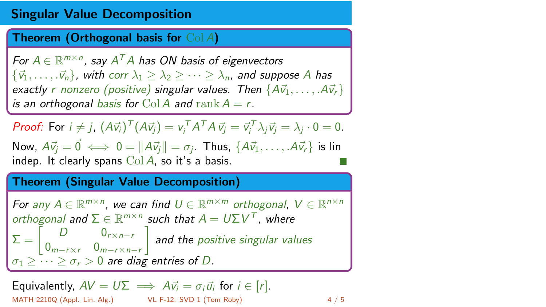#### Singular Value Decomposition

Theorem (Orthogonal basis for Col A)

For  $A \in \mathbb{R}^{m \times n}$ , say  $A^T A$  has ON basis of eigenvectors  ${\{\vec{v_1}, \ldots, \vec{v_n}\}}$ , with corr  $\lambda_1 > \lambda_2 > \cdots > \lambda_n$ , and suppose A has exactly r nonzero (positive) singular values. Then  $\{A\vec{v}_1, \ldots, A\vec{v}_r\}$ is an orthogonal basis for Col A and rank  $A = r$ .

**Proof:** For  $i \neq j$ ,  $(A\vec{v}_i)^T (A\vec{v}_j) = v_i^T A^T A \vec{v}_j = \vec{v}_i^T \lambda_j \vec{v}_j = \lambda_j \cdot 0 = 0$ . Now,  $A\vec{v}_j = \vec{0} \iff 0 = ||A\vec{v}_j|| = \sigma_j$ . Thus,  $\{A\vec{v}_1, \dots, A\vec{v}_r\}$  is lin indep. It clearly spans  $Col A$ , so it's a basis.

#### Theorem (Singular Value Decomposition)

For any  $A \in \mathbb{R}^{m \times n}$ , we can find  $U \in \mathbb{R}^{m \times m}$  orthogonal,  $V \in \mathbb{R}^{n \times n}$ orthogonal and  $\Sigma \in \mathbb{R}^{m \times n}$  such that  $A = U \Sigma V^{T}$ , where  $\Sigma = \begin{bmatrix} D & 0_{r \times n-r} \\ 0 & 0 \end{bmatrix}$  $0_{m-r\times r}$   $0_{m-r\times n-r}$  $\big]$  and the positive singular values  $\sigma_1 \geq \cdots \geq \sigma_r > 0$  are diag entries of D.

Equivalently, 
$$
AV = U\Sigma \implies Av_i = \sigma_i \vec{u}_i
$$
 for  $i \in [r]$ .

\nMATH 2210Q (Appl. Lin. Alg.)

\nUL F-12: SVD 1 (Tom Roby)

\n4 / 5